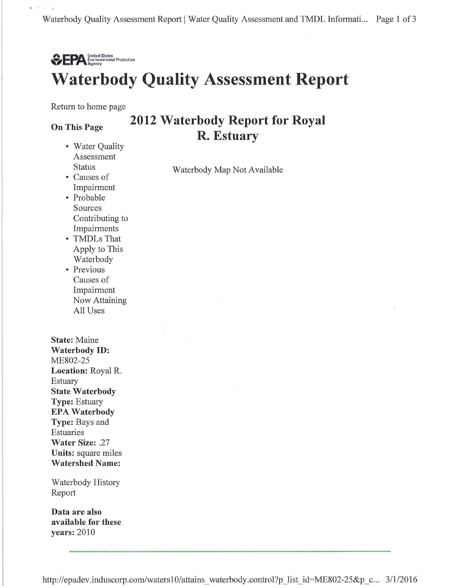

Return to home page

#### On This Page

 $P_0$  .  $P_1$  .  $P_2$ 

- Water Quality Assessment Status
- Causes of Impairment
- Probable Sources Contributing to Impairments
- TMDLs That Apply to This Waterbody
- Previous Causes of Impairment Now Attaining All Uses

State: Maine Waterbody ID: ME802-25 Location: Royal R. Estuary State Waterbody Type: Estuary EPA Waterbody Type: Bays and Estuaries Water Size: .27 Units: square miles Watershed Name:

Waterbody History Report

Data are also available for these years: 2010

2012 Waterbody Report for Royal R. Estuary

Waterbody Map Not Available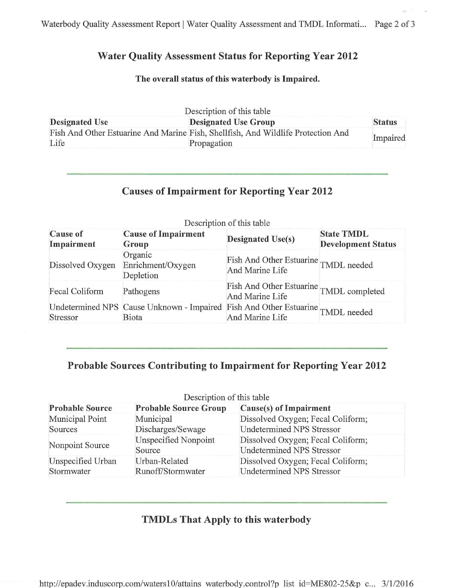### Water Quality Assessment Status for Reporting Year 2012

#### The overall status of this waterbody is Impaired.

| Description of this table |                                                                                  |               |  |  |
|---------------------------|----------------------------------------------------------------------------------|---------------|--|--|
| <b>Designated Use</b>     | <b>Designated Use Group</b>                                                      | <b>Status</b> |  |  |
|                           | Fish And Other Estuarine And Marine Fish, Shellfish, And Wildlife Protection And | Impaired      |  |  |
| Life                      | Propagation                                                                      |               |  |  |

### Causes of Impairment for Reporting Year 2012

| <b>Cause of</b><br>Impairment | <b>Cause of Impairment</b><br>Group                                                     | <b>Designated Use(s)</b>                                   | <b>State TMDL</b><br><b>Development Status</b> |
|-------------------------------|-----------------------------------------------------------------------------------------|------------------------------------------------------------|------------------------------------------------|
| Dissolved Oxygen              | Organic<br>Enrichment/Oxygen<br>Depletion                                               | Fish And Other Estuarine TMDL needed<br>And Marine Life    |                                                |
| Fecal Coliform                | Pathogens                                                                               | Fish And Other Estuarine TMDL completed<br>And Marine Life |                                                |
| Stressor                      | Undetermined NPS Cause Unknown - Impaired Fish And Other Estuarine TMDL needed<br>Biota | And Marine Life                                            |                                                |

Description of this table

# Probable Sources Contributing to Impairment for Reporting Year 2012

|                                 | Description of this table          |                                                                       |
|---------------------------------|------------------------------------|-----------------------------------------------------------------------|
| <b>Probable Source</b>          | <b>Probable Source Group</b>       | Cause(s) of Impairment                                                |
| Municipal Point<br>Sources      | Municipal<br>Discharges/Sewage     | Dissolved Oxygen; Fecal Coliform;<br><b>Undetermined NPS Stressor</b> |
| Nonpoint Source                 | Unspecified Nonpoint<br>Source     | Dissolved Oxygen; Fecal Coliform;<br><b>Undetermined NPS Stressor</b> |
| Unspecified Urban<br>Stormwater | Urban-Related<br>Runoff/Stormwater | Dissolved Oxygen; Fecal Coliform;<br><b>Undetermined NPS Stressor</b> |

### TMDLs That Apply to this waterbody

http://epadev.induscorp.com/waters10/attains waterbody.control?p list id=ME802-25&p c... 3/1/2016